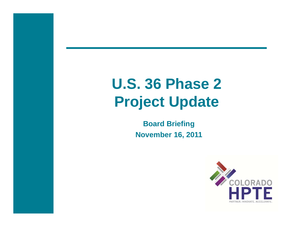# **U.S. 36 Phase 2 Project Update**

**Board Briefing November 16, 2011**

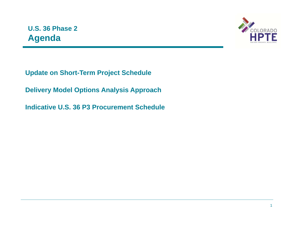## **U.S. 36 Phase 2 Agenda**



**Update on Short-Term Project Schedule**

**Delivery Model Options Analysis Approach**

**Indicative U.S. 36 P3 Procurement Schedule**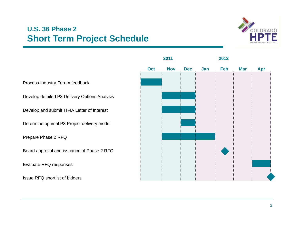### **U.S. 36 Phase 2 Short Term Project Schedule**



**2011 2012Oct Nov Dec Jan Feb Mar Apr** Process Industry Forum feedback Develop detailed P3 Delivery Options Analysis Develop and submit TIFIA Letter of Interest Determine optimal P3 Project delivery model Prepare Phase 2 RFQ Board approval and issuance of Phase 2 RFQ Evaluate RFQ responses Issue RFQ shortlist of bidders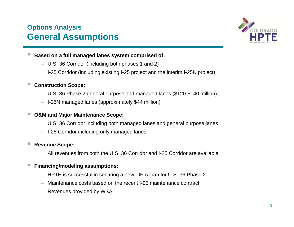### **Options Analysis General Assumptions**



- **Based on a full managed lanes system comprised of:**
	- $-$  U.S. 36 Corridor (including both phases 1 and 2)
	- I-25 Corridor (including existing I-25 project and the interim I-25N project)

#### $\overline{\phantom{a}}$ **Construction Scope:**

- U.S. 36 Phase 2 general purpose and managed lanes (\$120-\$140 million)
- I-25N managed lanes (approximately \$44 million)

### **O&M and Major Maintenance Scope:**

- U.S. 36 Corridor including both managed lanes and general purpose lanes
- I-25 Corridor including only managed lanes

#### ш **Revenue Scope:**

– All revenues from both the U.S. 36 Corridor and I-25 Corridor are available

#### ш **Financing/modeling assumptions:**

- $-$  HPTE is successful in securing a new TIFIA loan for U.S. 36 Phase 2  $\,$
- Maintenance costs based on the recent I-25 maintenance contract
- $-$  Revenues provided by WSA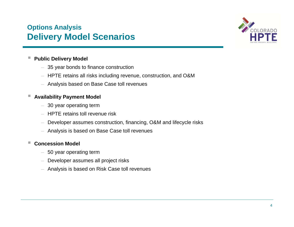### **Options Analysis Delivery Model Scenarios**



#### ш **Public Delivery Model**

- 35 year bonds to finance construction
- $-$  HPTE retains all risks including revenue, construction, and O&M
- Analysis based on Base Case toll revenues

#### ш **Availability Payment Model**

- $-$  30 year operating term
- HPTE retains toll revenue risk
- $-$  Developer assumes construction, financing, O&M and lifecycle risks
- Analysis is based on Base Case toll revenues

#### $\mathcal{L}_{\mathcal{A}}$ **Concession Model**

- $-$  50 year operating term
- Developer assumes all project risks
- Analysis is based on Risk Case toll revenues